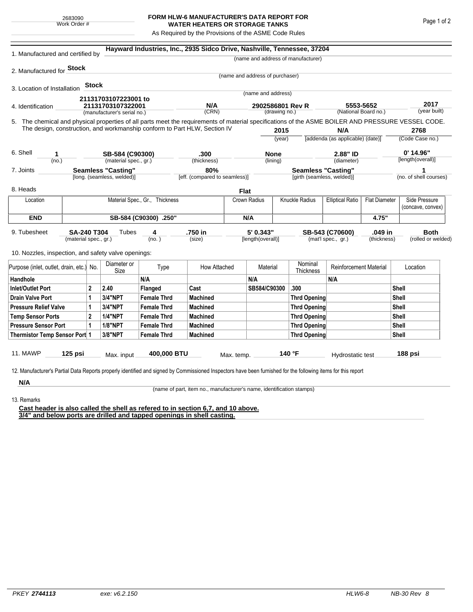## **FORM HLW-6 MANUFACTURER'S DATA REPORT FOR WATER HEATERS OR STORAGE TANKS**

As Required by the Provisions of the ASME Code Rules

| 1. Manufactured and certified by                                                                                                                              |                                                         |         |                             |                    | Hayward Industries, Inc., 2935 Sidco Drive, Nashville, Tennessee, 37204   |                                      |                                   |                     |                                                         |                                                  |                                   |                                    |                      |
|---------------------------------------------------------------------------------------------------------------------------------------------------------------|---------------------------------------------------------|---------|-----------------------------|--------------------|---------------------------------------------------------------------------|--------------------------------------|-----------------------------------|---------------------|---------------------------------------------------------|--------------------------------------------------|-----------------------------------|------------------------------------|----------------------|
|                                                                                                                                                               |                                                         |         |                             |                    |                                                                           |                                      |                                   |                     | (name and address of manufacturer)                      |                                                  |                                   |                                    |                      |
| 2. Manufactured for <b>Stock</b>                                                                                                                              |                                                         |         |                             |                    |                                                                           |                                      |                                   |                     |                                                         |                                                  |                                   |                                    |                      |
|                                                                                                                                                               |                                                         |         |                             |                    |                                                                           |                                      | (name and address of purchaser)   |                     |                                                         |                                                  |                                   |                                    |                      |
| 3. Location of Installation                                                                                                                                   |                                                         | Stock   |                             |                    |                                                                           |                                      | (name and address)                |                     |                                                         |                                                  |                                   |                                    |                      |
|                                                                                                                                                               |                                                         |         | 21131703107223001 to        |                    |                                                                           |                                      |                                   |                     |                                                         |                                                  |                                   |                                    |                      |
| 4. Identification                                                                                                                                             |                                                         |         | 21131703107322001           |                    | N/A<br>(CRN)                                                              |                                      | 2902586801 Rev R<br>(drawing no.) |                     |                                                         |                                                  | 5553-5652<br>(National Board no.) |                                    | 2017<br>(year built) |
|                                                                                                                                                               |                                                         |         | (manufacturer's serial no.) |                    |                                                                           |                                      |                                   |                     |                                                         |                                                  |                                   |                                    |                      |
| 5. The chemical and physical properties of all parts meet the requirements of material specifications of the ASME BOILER AND PRESSURE VESSEL CODE.            |                                                         |         |                             |                    | The design, construction, and workmanship conform to Part HLW, Section IV |                                      |                                   | 2015                |                                                         | N/A                                              |                                   |                                    | 2768                 |
|                                                                                                                                                               |                                                         |         |                             |                    |                                                                           |                                      | (year)                            |                     |                                                         | [addenda (as applicable) (date)]                 |                                   | (Code Case no.)                    |                      |
|                                                                                                                                                               |                                                         |         |                             |                    |                                                                           |                                      |                                   |                     |                                                         |                                                  |                                   |                                    |                      |
| 6. Shell<br>1                                                                                                                                                 |                                                         |         | SB-584 (C90300)             |                    | .300                                                                      |                                      | <b>None</b>                       |                     |                                                         | 2.88" ID                                         |                                   | 0' 14.96"<br>[length(overall)]     |                      |
| (no.)                                                                                                                                                         |                                                         |         | (material spec., gr.)       |                    | (thickness)                                                               |                                      | (lining)                          |                     |                                                         | (diameter)                                       |                                   |                                    |                      |
| 7. Joints                                                                                                                                                     | <b>Seamless "Casting"</b><br>[long. (seamless, welded)] |         |                             |                    |                                                                           | 80%<br>[eff. (compared to seamless)] |                                   |                     | <b>Seamless "Casting"</b><br>[girth (seamless, welded)] |                                                  |                                   | 1<br>(no. of shell courses)        |                      |
|                                                                                                                                                               |                                                         |         |                             |                    |                                                                           |                                      |                                   |                     |                                                         |                                                  |                                   |                                    |                      |
| 8. Heads                                                                                                                                                      |                                                         |         |                             |                    |                                                                           | <b>Flat</b>                          |                                   |                     |                                                         |                                                  |                                   |                                    |                      |
| Location                                                                                                                                                      | Material Spec., Gr., Thickness                          |         |                             |                    |                                                                           |                                      | Knuckle Radius<br>Crown Radius    |                     | <b>Elliptical Ratio</b>                                 | <b>Flat Diameter</b>                             |                                   | Side Pressure<br>(concave, convex) |                      |
| <b>END</b>                                                                                                                                                    | SB-584 (C90300) .250"                                   |         |                             |                    |                                                                           |                                      | N/A                               |                     |                                                         |                                                  | 4.75"                             |                                    |                      |
| 9. Tubesheet<br><b>SA-240 T304</b>                                                                                                                            |                                                         |         | Tubes                       | 4                  | .750 in                                                                   |                                      | 5' 0.343"                         |                     |                                                         | .049 in<br>SB-543 (C70600)<br>(mat'l spec., gr.) |                                   |                                    | <b>Both</b>          |
|                                                                                                                                                               | (material spec., gr.)                                   |         |                             | (no. )             | (size)                                                                    |                                      | [length(overall)]                 |                     |                                                         |                                                  | (thickness)                       |                                    | (rolled or welded)   |
| 10. Nozzles, inspection, and safety valve openings:                                                                                                           |                                                         |         |                             |                    |                                                                           |                                      |                                   |                     |                                                         |                                                  |                                   |                                    |                      |
|                                                                                                                                                               | Purpose (inlet, outlet, drain, etc.) No.                |         | Diameter or<br>Size         | Type               | How Attached                                                              |                                      | Material                          |                     | Nominal<br>Thickness                                    | <b>Reinforcement Material</b>                    |                                   |                                    | Location             |
| Handhole                                                                                                                                                      |                                                         |         |                             | N/A                |                                                                           |                                      | N/A                               |                     |                                                         | N/A                                              |                                   |                                    |                      |
| <b>Inlet/Outlet Port</b>                                                                                                                                      | $\overline{2}$                                          |         | 2.40                        | Flanged            | Cast                                                                      |                                      | SB584/C90300                      |                     | .300                                                    |                                                  |                                   | Shell                              |                      |
| <b>Drain Valve Port</b><br>1                                                                                                                                  |                                                         | 3/4"NPT | <b>Female Thrd</b>          | <b>Machined</b>    |                                                                           |                                      |                                   | <b>Thrd Opening</b> |                                                         |                                                  | Shell                             |                                    |                      |
| <b>Pressure Relief Valve</b><br>1                                                                                                                             |                                                         |         | 3/4"NPT                     | <b>Female Thrd</b> | <b>Machined</b>                                                           |                                      |                                   | <b>Thrd Opening</b> |                                                         |                                                  |                                   | Shell                              |                      |
| $\overline{2}$<br><b>Temp Sensor Ports</b>                                                                                                                    |                                                         |         | <b>1/4"NPT</b>              | <b>Female Thrd</b> | <b>Machined</b>                                                           |                                      |                                   |                     | <b>Thrd Opening</b>                                     |                                                  | Shell                             |                                    |                      |
| <b>Pressure Sensor Port</b><br>1                                                                                                                              |                                                         |         | <b>1/8"NPT</b>              | <b>Female Thrd</b> | <b>Machined</b>                                                           |                                      |                                   |                     | Thrd Opening                                            |                                                  |                                   | Shell                              |                      |
| Thermistor Temp Sensor Port 1                                                                                                                                 |                                                         |         | 3/8"NPT                     | <b>Female Thrd</b> | <b>Machined</b>                                                           |                                      |                                   |                     | Thrd Opening                                            |                                                  | Shell                             |                                    |                      |
| 11. MAWP                                                                                                                                                      | $125$ psi                                               |         | Max. input                  | 400,000 BTU        |                                                                           | Max. temp.                           |                                   |                     | 140 °F                                                  | Hydrostatic test                                 |                                   |                                    | 188 psi              |
|                                                                                                                                                               |                                                         |         |                             |                    |                                                                           |                                      |                                   |                     |                                                         |                                                  |                                   |                                    |                      |
| 12. Manufacturer's Partial Data Reports properly identified and signed by Commissioned Inspectors have been furnished for the following items for this report |                                                         |         |                             |                    |                                                                           |                                      |                                   |                     |                                                         |                                                  |                                   |                                    |                      |
| N/A                                                                                                                                                           |                                                         |         |                             |                    |                                                                           |                                      |                                   |                     |                                                         |                                                  |                                   |                                    |                      |

(name of part, item no., manufacturer's name, identification stamps)

13. Remarks

**Cast header is also called the shell as refered to in section 6,7, and 10 above. 3/4" and below ports are drilled and tapped openings in shell casting.**